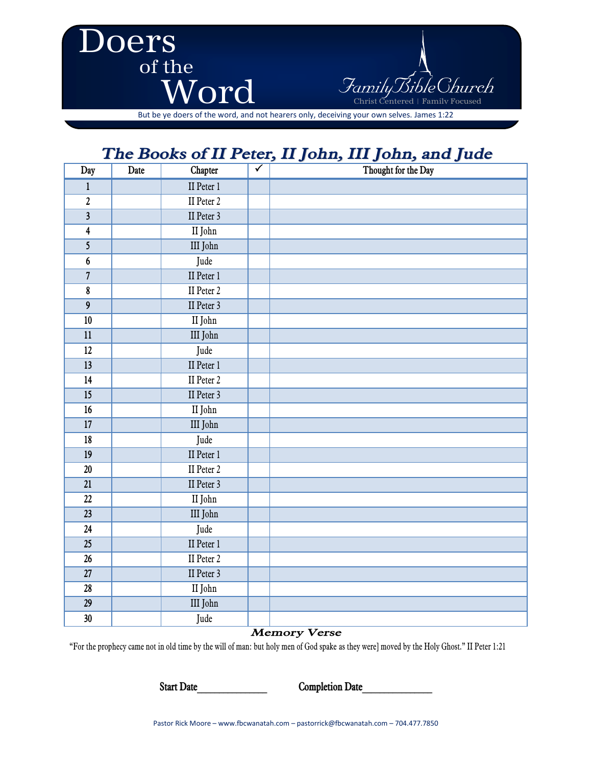

But be ye doers of the word, and not hearers only, deceiving your own selves. James 1:22

# *The Books of II Peter, II John, III John, and Jude*

| Day                     | . <u>.</u><br>Date | $\sim$ $\sim$ $\sim$ $\sim$<br>.<br>Chapter | $\overline{\checkmark}$ | $-2$<br>$\sim$<br><u>and Johnsy which Jesse</u><br>Thought for the Day |
|-------------------------|--------------------|---------------------------------------------|-------------------------|------------------------------------------------------------------------|
| $\mathbf 1$             |                    | II Peter 1                                  |                         |                                                                        |
| $\overline{\mathbf{c}}$ |                    | II Peter 2                                  |                         |                                                                        |
| $\overline{\mathbf{3}}$ |                    | II Peter 3                                  |                         |                                                                        |
| $\overline{\mathbf{4}}$ |                    | II John                                     |                         |                                                                        |
| $\overline{\mathbf{5}}$ |                    | III John                                    |                         |                                                                        |
| $\boldsymbol{6}$        |                    | Jude                                        |                         |                                                                        |
| $\overline{7}$          |                    | II Peter 1                                  |                         |                                                                        |
| $\overline{\textbf{8}}$ |                    | II Peter 2                                  |                         |                                                                        |
| $\overline{9}$          |                    | II Peter 3                                  |                         |                                                                        |
| $10\,$                  |                    | II John                                     |                         |                                                                        |
| $11\,$                  |                    | III John                                    |                         |                                                                        |
| $\overline{12}$         |                    | Jude                                        |                         |                                                                        |
| 13                      |                    | II Peter 1                                  |                         |                                                                        |
| 14                      |                    | II Peter 2                                  |                         |                                                                        |
| $\overline{15}$         |                    | II Peter 3                                  |                         |                                                                        |
| $16\,$                  |                    | II John                                     |                         |                                                                        |
| $17\,$                  |                    | $\rm III$ John                              |                         |                                                                        |
| $18\,$                  |                    | Jude                                        |                         |                                                                        |
| 19                      |                    | II Peter 1                                  |                         |                                                                        |
| $\overline{20}$         |                    | II Peter 2                                  |                         |                                                                        |
| $\overline{21}$         |                    | II Peter 3                                  |                         |                                                                        |
| 22                      |                    | II John                                     |                         |                                                                        |
| $\overline{23}$         |                    | III John                                    |                         |                                                                        |
| 24                      |                    | Jude                                        |                         |                                                                        |
| $\overline{25}$         |                    | II Peter 1                                  |                         |                                                                        |
| 26                      |                    | II Peter 2                                  |                         |                                                                        |
| 27                      |                    | II Peter 3                                  |                         |                                                                        |
| 28                      |                    | $\rm II$ John                               |                         |                                                                        |
| $\overline{29}$         |                    | III John                                    |                         |                                                                        |
| 30                      |                    | Jude                                        |                         |                                                                        |

#### *Memory Verse*

"For the prophecy came not in old time by the will of man: but holy men of God spake as they were] moved by the Holy Ghost." II Peter 1:21

**Start Date\_\_\_\_\_\_\_\_\_\_\_\_\_\_\_\_ Completion Date\_\_\_\_\_\_\_\_\_\_\_\_\_\_\_\_**